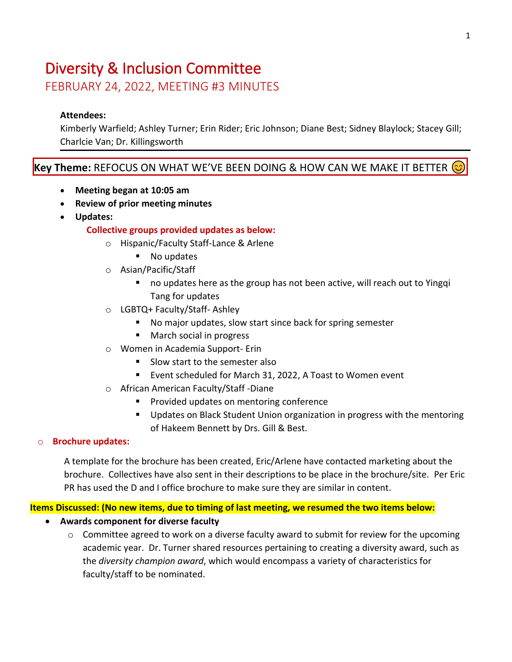# Diversity & Inclusion Committee

FEBRUARY 24, 2022, MEETING #3 MINUTES

# **Attendees:**

Kimberly Warfield; Ashley Turner; Erin Rider; Eric Johnson; Diane Best; Sidney Blaylock; Stacey Gill; Charlcie Van; Dr. Killingsworth

# **Key Theme:** REFOCUS ON WHAT WE'VE BEEN DOING & HOW CAN WE MAKE IT BETTER

- **Meeting began at 10:05 am**
- **Review of prior meeting minutes**
- **Updates:**

#### **Collective groups provided updates as below:**

- o Hispanic/Faculty Staff-Lance & Arlene
	- No updates
- o Asian/Pacific/Staff
	- no updates here as the group has not been active, will reach out to Yingqi Tang for updates
- o LGBTQ+ Faculty/Staff- Ashley
	- No major updates, slow start since back for spring semester
	- March social in progress
- o Women in Academia Support- Erin
	- Slow start to the semester also
	- Event scheduled for March 31, 2022, A Toast to Women event
- o African American Faculty/Staff -Diane
	- Provided updates on mentoring conference
	- Updates on Black Student Union organization in progress with the mentoring of Hakeem Bennett by Drs. Gill & Best.

#### o **Brochure updates:**

A template for the brochure has been created, Eric/Arlene have contacted marketing about the brochure. Collectives have also sent in their descriptions to be place in the brochure/site. Per Eric PR has used the D and I office brochure to make sure they are similar in content.

#### **Items Discussed: (No new items, due to timing of last meeting, we resumed the two items below:**

# • **Awards component for diverse faculty**

 $\circ$  Committee agreed to work on a diverse faculty award to submit for review for the upcoming academic year. Dr. Turner shared resources pertaining to creating a diversity award, such as the *diversity champion award*, which would encompass a variety of characteristics for faculty/staff to be nominated.